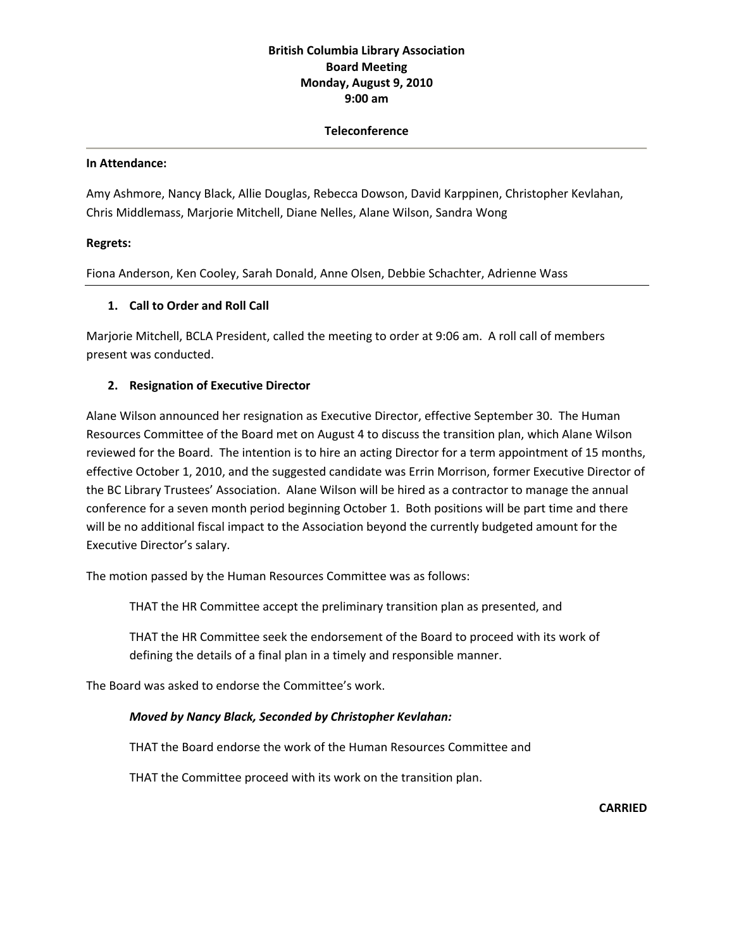## **British Columbia Library Association Board Meeting Monday, August 9, 2010 9:00 am**

### **Teleconference**

#### **In Attendance:**

Amy Ashmore, Nancy Black, Allie Douglas, Rebecca Dowson, David Karppinen, Christopher Kevlahan, Chris Middlemass, Marjorie Mitchell, Diane Nelles, Alane Wilson, Sandra Wong

### **Regrets:**

Fiona Anderson, Ken Cooley, Sarah Donald, Anne Olsen, Debbie Schachter, Adrienne Wass

### **1. Call to Order and Roll Call**

Marjorie Mitchell, BCLA President, called the meeting to order at 9:06 am. A roll call of members present was conducted.

### **2. Resignation of Executive Director**

Alane Wilson announced her resignation as Executive Director, effective September 30. The Human Resources Committee of the Board met on August 4 to discuss the transition plan, which Alane Wilson reviewed for the Board. The intention is to hire an acting Director for a term appointment of 15 months, effective October 1, 2010, and the suggested candidate was Errin Morrison, former Executive Director of the BC Library Trustees' Association. Alane Wilson will be hired as a contractor to manage the annual conference for a seven month period beginning October 1. Both positions will be part time and there will be no additional fiscal impact to the Association beyond the currently budgeted amount for the Executive Director's salary.

The motion passed by the Human Resources Committee was as follows:

THAT the HR Committee accept the preliminary transition plan as presented, and

THAT the HR Committee seek the endorsement of the Board to proceed with its work of defining the details of a final plan in a timely and responsible manner.

The Board was asked to endorse the Committee's work.

### *Moved by Nancy Black, Seconded by Christopher Kevlahan:*

THAT the Board endorse the work of the Human Resources Committee and

THAT the Committee proceed with its work on the transition plan.

**CARRIED**